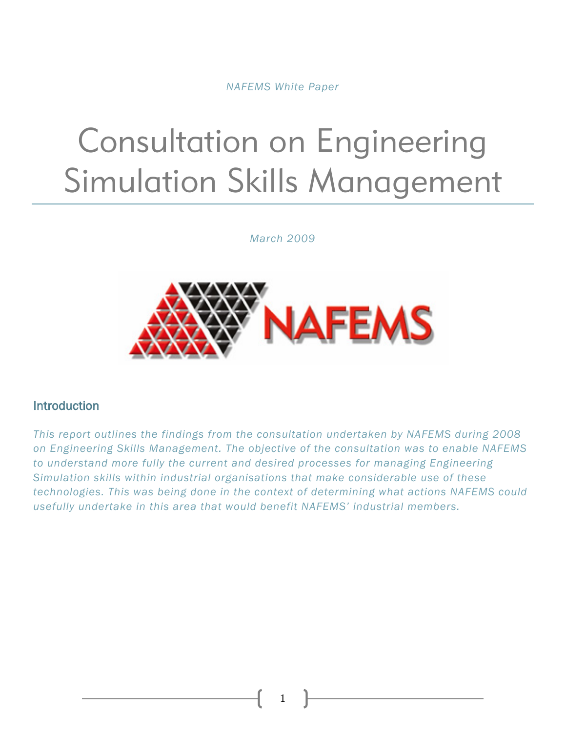*NAFEMS White Paper* 

# Consultation on Engineering Simulation Skills Management

*March 2009* 



#### Introduction

*This report outlines the findings from the consultation undertaken by NAFEMS during 2008 on Engineering Skills Management. The objective of the consultation was to enable NAFEMS to understand more fully the current and desired processes for managing Engineering Simulation skills within industrial organisations that make considerable use of these technologies. This was being done in the context of determining what actions NAFEMS could usefully undertake in this area that would benefit NAFEMS' industrial members.*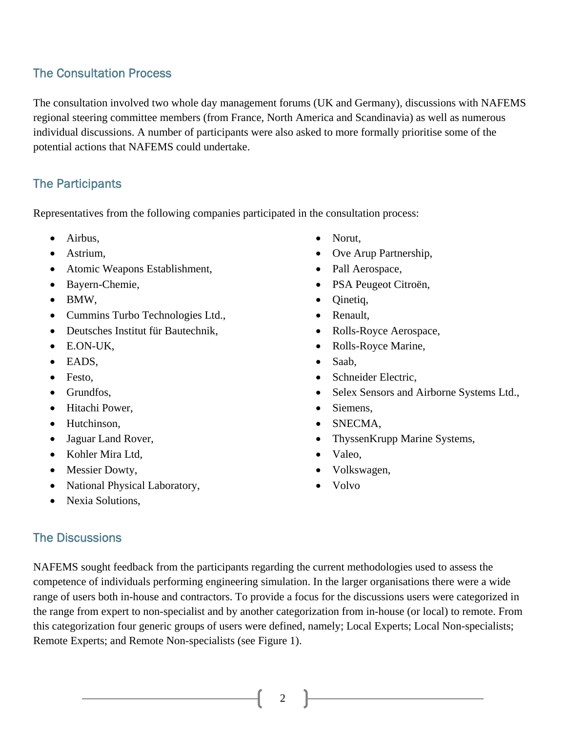# The Consultation Process

The consultation involved two whole day management forums (UK and Germany), discussions with NAFEMS regional steering committee members (from France, North America and Scandinavia) as well as numerous individual discussions. A number of participants were also asked to more formally prioritise some of the potential actions that NAFEMS could undertake.

### The Participants

Representatives from the following companies participated in the consultation process:

- Airbus,
- Astrium,
- Atomic Weapons Establishment,
- Bayern-Chemie,
- BMW,
- Cummins Turbo Technologies Ltd.,
- Deutsches Institut für Bautechnik,
- E.ON-UK,
- EADS,
- Festo,
- Grundfos,
- Hitachi Power,
- Hutchinson.
- Jaguar Land Rover,
- Kohler Mira Ltd,
- Messier Dowty,
- National Physical Laboratory,
- Nexia Solutions.
- Ove Arup Partnership,
- Pall Aerospace,
- PSA Peugeot Citroën,
- Qinetiq,

• Norut,

- Renault,
- Rolls-Royce Aerospace,
- Rolls-Royce Marine,
- Saab,
- Schneider Electric,
- Selex Sensors and Airborne Systems Ltd.,
- Siemens,
- SNECMA,
- ThyssenKrupp Marine Systems,
- Valeo,
- Volkswagen,
- Volvo

#### The Discussions

NAFEMS sought feedback from the participants regarding the current methodologies used to assess the competence of individuals performing engineering simulation. In the larger organisations there were a wide range of users both in-house and contractors. To provide a focus for the discussions users were categorized in the range from expert to non-specialist and by another categorization from in-house (or local) to remote. From this categorization four generic groups of users were defined, namely; Local Experts; Local Non-specialists; Remote Experts; and Remote Non-specialists (see Figure 1).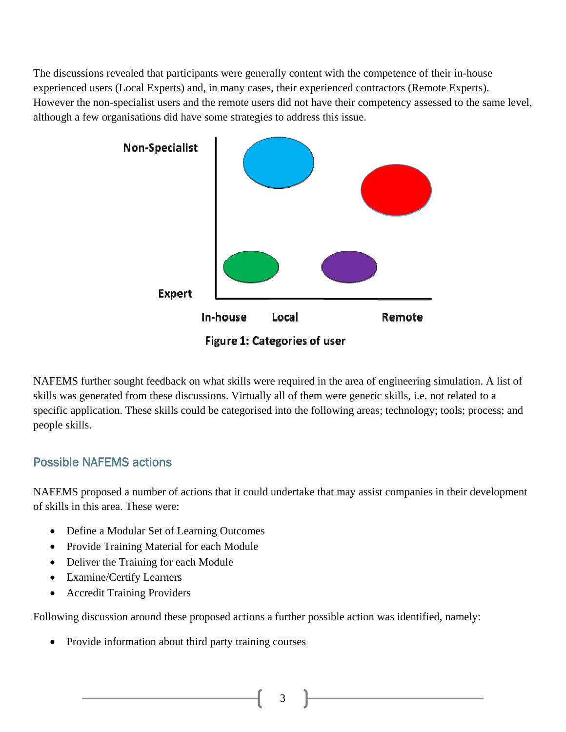The discussions revealed that participants were generally content with the competence of their in-house experienced users (Local Experts) and, in many cases, their experienced contractors (Remote Experts). However the non-specialist users and the remote users did not have their competency assessed to the same level, although a few organisations did have some strategies to address this issue.



NAFEMS further sought feedback on what skills were required in the area of engineering simulation. A list of skills was generated from these discussions. Virtually all of them were generic skills, i.e. not related to a specific application. These skills could be categorised into the following areas; technology; tools; process; and people skills.

# Possible NAFEMS actions

NAFEMS proposed a number of actions that it could undertake that may assist companies in their development of skills in this area. These were:

- Define a Modular Set of Learning Outcomes
- Provide Training Material for each Module
- Deliver the Training for each Module
- Examine/Certify Learners
- Accredit Training Providers

Following discussion around these proposed actions a further possible action was identified, namely:

• Provide information about third party training courses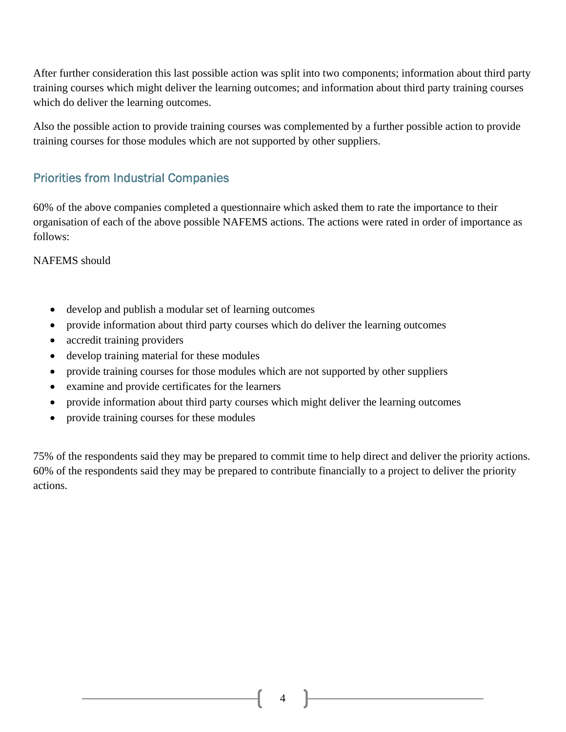After further consideration this last possible action was split into two components; information about third party training courses which might deliver the learning outcomes; and information about third party training courses which do deliver the learning outcomes.

Also the possible action to provide training courses was complemented by a further possible action to provide training courses for those modules which are not supported by other suppliers.

# Priorities from Industrial Companies

60% of the above companies completed a questionnaire which asked them to rate the importance to their organisation of each of the above possible NAFEMS actions. The actions were rated in order of importance as follows:

#### NAFEMS should

- develop and publish a modular set of learning outcomes
- provide information about third party courses which do deliver the learning outcomes
- accredit training providers
- develop training material for these modules
- provide training courses for those modules which are not supported by other suppliers
- examine and provide certificates for the learners
- provide information about third party courses which might deliver the learning outcomes
- provide training courses for these modules

75% of the respondents said they may be prepared to commit time to help direct and deliver the priority actions. 60% of the respondents said they may be prepared to contribute financially to a project to deliver the priority actions.